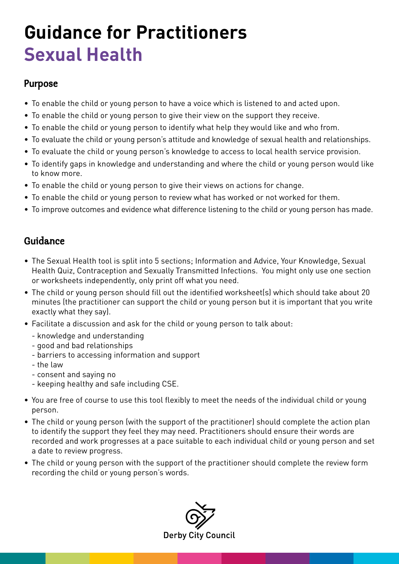### **Guidance for Practitioners Sexual Health**

#### Purpose

- To enable the child or young person to have a voice which is listened to and acted upon.
- To enable the child or young person to give their view on the support they receive.
- To enable the child or young person to identify what help they would like and who from.
- To evaluate the child or young person's attitude and knowledge of sexual health and relationships.
- To evaluate the child or young person's knowledge to access to local health service provision.
- To identify gaps in knowledge and understanding and where the child or young person would like to know more.
- To enable the child or young person to give their views on actions for change.
- To enable the child or young person to review what has worked or not worked for them.
- To improve outcomes and evidence what difference listening to the child or young person has made.

#### Guidance

- The Sexual Health tool is split into 5 sections; Information and Advice, Your Knowledge, Sexual Health Quiz, Contraception and Sexually Transmitted Infections. You might only use one section or worksheets independently, only print off what you need.
- The child or young person should fill out the identified worksheet(s) which should take about 20 minutes (the practitioner can support the child or young person but it is important that you write exactly what they say).
- Facilitate a discussion and ask for the child or young person to talk about:
	- knowledge and understanding
	- good and bad relationships
	- barriers to accessing information and support
	- the law
	- consent and saying no
	- keeping healthy and safe including CSE.
- You are free of course to use this tool flexibly to meet the needs of the individual child or young person.
- The child or young person (with the support of the practitioner) should complete the action plan to identify the support they feel they may need. Practitioners should ensure their words are recorded and work progresses at a pace suitable to each individual child or young person and set a date to review progress.
- The child or young person with the support of the practitioner should complete the review form recording the child or young person's words.

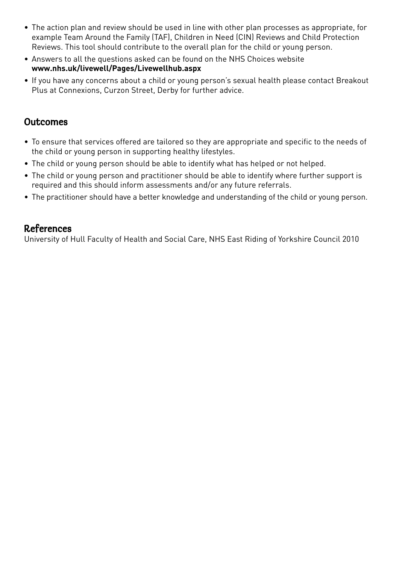- The action plan and review should be used in line with other plan processes as appropriate, for example Team Around the Family (TAF), Children in Need (CIN) Reviews and Child Protection Reviews. This tool should contribute to the overall plan for the child or young person.
- Answers to all the questions asked can be found on the NHS Choices website **www.nhs.uk/livewell/Pages/Livewellhub.aspx**
- If you have any concerns about a child or young person's sexual health please contact Breakout Plus at Connexions, Curzon Street, Derby for further advice.

#### **Outcomes**

- To ensure that services offered are tailored so they are appropriate and specific to the needs of the child or young person in supporting healthy lifestyles.
- The child or young person should be able to identify what has helped or not helped.
- The child or young person and practitioner should be able to identify where further support is required and this should inform assessments and/or any future referrals.
- The practitioner should have a better knowledge and understanding of the child or young person.

#### References

University of Hull Faculty of Health and Social Care, NHS East Riding of Yorkshire Council 2010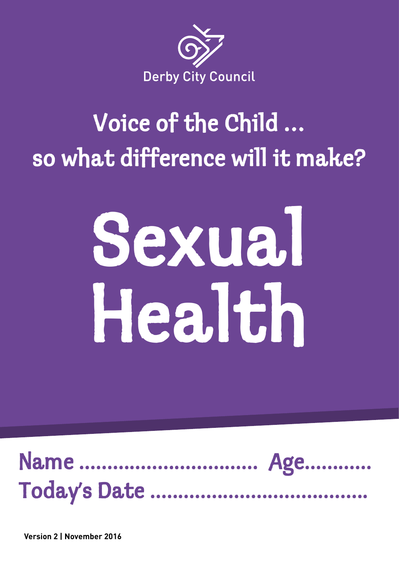

### Voice of the Child … so what difference will it make?

# Sexual Health



**Version 2 | November 2016**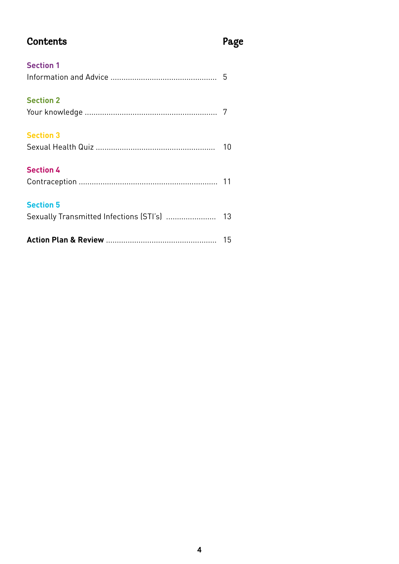### Contents Page

| <b>Section 1</b>                            |    |
|---------------------------------------------|----|
|                                             |    |
| <b>Section 2</b>                            |    |
|                                             |    |
| <b>Section 3</b>                            |    |
|                                             | 10 |
| <b>Section 4</b>                            |    |
|                                             |    |
| <b>Section 5</b>                            |    |
| Sexually Transmitted Infections (STI's)  13 |    |
|                                             |    |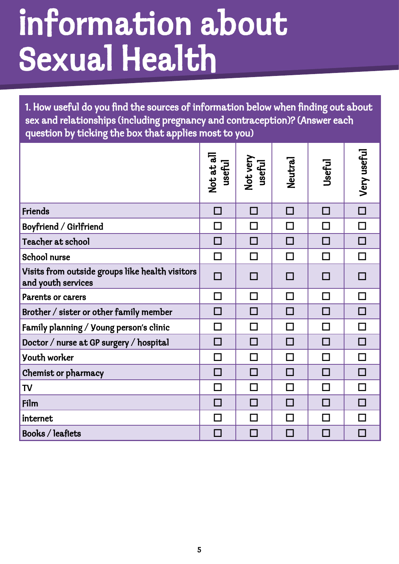### Information about Sexual Health

1. How useful do you find the sources of information below when finding out about sex and relationships (including pregnancy and contraception)? (Answer each question by ticking the box that applies most to you)

|                                                                       | Not at all<br>useful | Not very<br>useful | Neutral | Useful      | Very useful |
|-----------------------------------------------------------------------|----------------------|--------------------|---------|-------------|-------------|
| Friends                                                               | П                    | П                  | П       | П           | П           |
| Boyfriend / Girlfriend                                                | П                    | П                  | П       | П           | П           |
| Teacher at school                                                     | П                    | П                  | П       | П           | H           |
| <b>School nurse</b>                                                   | $\Box$               | П                  | П       | П           | П           |
| Visits from outside groups like health visitors<br>and youth services | П                    |                    |         | <b>IT I</b> |             |
| <b>Parents or carers</b>                                              | $\Box$               | $\Box$             | П       | П           | П           |
| Brother / sister or other family member                               | П                    | П                  | П       | П           | П           |
| Family planning / Young person's clinic                               | П                    | П                  | $\Box$  | П           |             |
| Doctor / nurse at GP surgery / hospital                               | П                    | П                  | П       | П           |             |
| <b>Youth worker</b>                                                   | $\Box$               | П                  | П       | П           |             |
| Chemist or pharmacy                                                   | П                    | П                  | П       | П           | П           |
| <b>TV</b>                                                             | $\Box$               | П                  | П       | П           | П           |
| Film                                                                  | П                    | П                  | П       | П           | П           |
| internet                                                              | П                    | П                  | $\Box$  | П           |             |
| Books / leaflets                                                      | <b>The Second</b>    | П                  |         |             |             |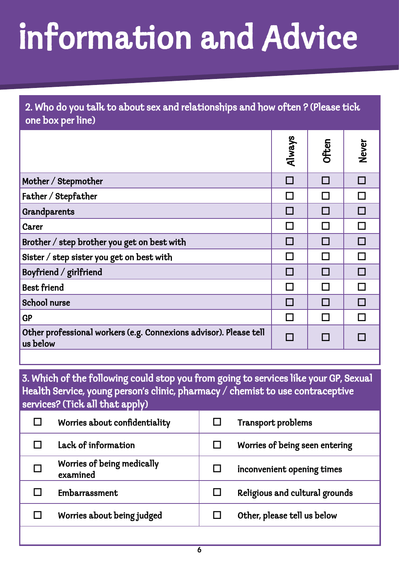# Information and Advice

| 2. Who do you talk to about sex and relationships and how often ? (Please tick<br>one box per line) |               |       |       |  |
|-----------------------------------------------------------------------------------------------------|---------------|-------|-------|--|
|                                                                                                     | Always        | Often | Never |  |
| Mother / Stepmother                                                                                 | П             |       |       |  |
| Father / Stepfather                                                                                 | $\mathsf{L}$  |       |       |  |
| Grandparents                                                                                        |               |       |       |  |
| Carer                                                                                               | <b>Talent</b> |       |       |  |
| Brother / step brother you get on best with                                                         | ш             | П     |       |  |
| Sister / step sister you get on best with                                                           | $\Box$        |       | П     |  |
| Boyfriend / girlfriend                                                                              |               |       |       |  |
| <b>Best friend</b>                                                                                  | П             |       |       |  |
| <b>School nurse</b>                                                                                 |               |       |       |  |
| <b>GP</b>                                                                                           |               |       |       |  |
| Other professional workers (e.g. Connexions advisor). Please tell<br>us below                       | П             |       |       |  |
|                                                                                                     |               |       |       |  |

3. Which of the following could stop you from going to services like your GP, Sexual Health Service, young person's clinic, pharmacy / chemist to use contraceptive services? (Tick all that apply)

| Worries about confidentiality          | Transport problems             |
|----------------------------------------|--------------------------------|
| Lack of information                    | Worries of being seen entering |
| Worries of being medically<br>examined | inconvenient opening times     |
| Embarrassment                          | Religious and cultural grounds |
| Worries about being judged             | Other, please tell us below    |
|                                        |                                |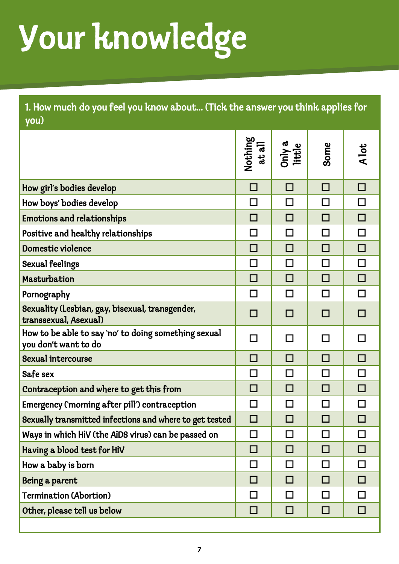# Your knowledge

1. How much do you feel you know about... (Tick the answer you think applies for you)

|                                                                              | Nothing<br>at all | Only a<br>little | Some   | A lot  |
|------------------------------------------------------------------------------|-------------------|------------------|--------|--------|
| How girl's bodies develop                                                    | □                 | $\Box$           | П      | □      |
| How boys' bodies develop                                                     | П                 | П                | П      | П      |
| <b>Emotions and relationships</b>                                            | П                 | П                | П      | П      |
| Positive and healthy relationships                                           | $\Box$            | $\Box$           | П      | П      |
| Domestic violence                                                            | П                 | П                | П      | П      |
| <b>Sexual feelings</b>                                                       | $\Box$            | П                | П      | П      |
| Masturbation                                                                 | П                 | П                | П      | П      |
| Pornography                                                                  | П                 | $\Box$           | П      | П      |
| Sexuality (Lesbian, gay, bisexual, transgender,<br>transsexual, Asexual)     | П                 | П                | П      | П      |
| How to be able to say 'no' to doing something sexual<br>you don't want to do | П                 | $\Box$           |        |        |
| <b>Sexual intercourse</b>                                                    | П                 | П                | П      | П      |
| Safe sex                                                                     | $\Box$            | $\Box$           | $\Box$ | П      |
| Contraception and where to get this from                                     | П                 | П                | П      | П      |
| Emergency ('morning after pill') contraception                               | П                 | П                | П      | П      |
| Sexually transmitted infections and where to get tested                      | □                 | П                |        |        |
| Ways in which HIV (the AIDS virus) can be passed on                          |                   |                  |        |        |
| Having a blood test for HiV                                                  | □                 | □                | П      | $\Box$ |
| How a baby is born                                                           | $\Box$            | $\Box$           | □      | □      |
| Being a parent                                                               | $\Box$            | $\Box$           | П      | □      |
| <b>Termination (Abortion)</b>                                                | $\Box$            | $\Box$           | П      | $\Box$ |
| Other, please tell us below                                                  | □                 | □                | □      | □      |
|                                                                              |                   |                  |        |        |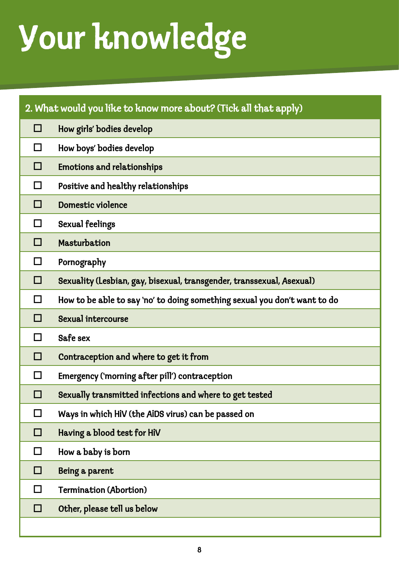# Your knowledge

|   | 2. What would you like to know more about? (Tick all that apply)          |
|---|---------------------------------------------------------------------------|
| □ | How girls' bodies develop                                                 |
| □ | How boys' bodies develop                                                  |
| □ | <b>Emotions and relationships</b>                                         |
| □ | Positive and healthy relationships                                        |
| □ | Domestic violence                                                         |
| □ | <b>Sexual feelings</b>                                                    |
| □ | Masturbation                                                              |
| □ | Pornography                                                               |
| □ | Sexuality (Lesbian, gay, bisexual, transgender, transsexual, Asexual)     |
| □ | How to be able to say 'no' to doing something sexual you don't want to do |
| □ | <b>Sexual intercourse</b>                                                 |
| □ | Safe sex                                                                  |
| □ | Contraception and where to get it from                                    |
| □ | Emergency ('morning after pill') contraception                            |
| □ | Sexually transmitted infections and where to get tested                   |
| □ | Ways in which HiV (the AiDS virus) can be passed on                       |
| □ | Having a blood test for HiV                                               |
| □ | How a baby is born                                                        |
| □ | Being a parent                                                            |
| □ | <b>Termination (Abortion)</b>                                             |
| □ | Other, please tell us below                                               |
|   |                                                                           |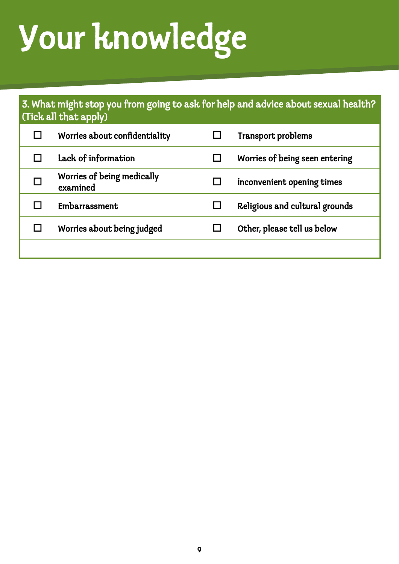# Your knowledge

### 3. What might stop you from going to ask for help and advice about sexual health? (Tick all that apply)

| Worries about confidentiality          | Transport problems             |
|----------------------------------------|--------------------------------|
| Lack of information                    | Worries of being seen entering |
| Worries of being medically<br>examined | inconvenient opening times     |
| Embarrassment                          | Religious and cultural grounds |
| Worries about being judged             | Other, please tell us below    |
|                                        |                                |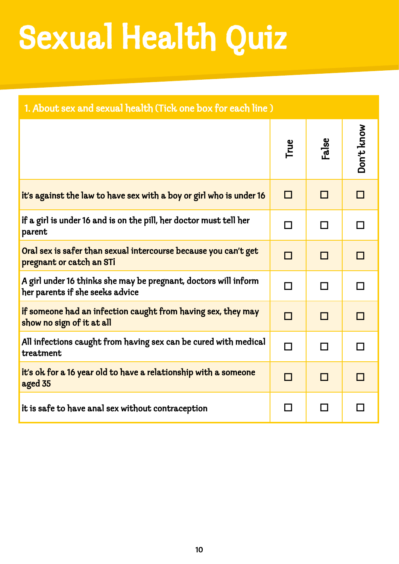# Sexual Health Quiz

| 1. About sex and sexual health (Tick one box for each line)                                        |      |        |            |  |  |
|----------------------------------------------------------------------------------------------------|------|--------|------------|--|--|
|                                                                                                    | True | False  | Don't know |  |  |
| it's against the law to have sex with a boy or girl who is under 16                                | П    | П      | П          |  |  |
| if a girl is under 16 and is on the pill, her doctor must tell her<br>parent                       | П    | $\Box$ | П          |  |  |
| Oral sex is safer than sexual intercourse because you can't get<br>pregnant or catch an STi        | П    | П      | П          |  |  |
| A girl under 16 thinks she may be pregnant, doctors will inform<br>her parents if she seeks advice | П    | П      | П          |  |  |
| if someone had an infection caught from having sex, they may<br>show no sign of it at all          | П    | П      | П          |  |  |
| All infections caught from having sex can be cured with medical<br>treatment                       | П    | П      | П          |  |  |
| it's ok for a 16 year old to have a relationship with a someone<br>aged 35                         | П    | П      | П          |  |  |
| it is safe to have anal sex without contraception                                                  | ΙI   | П      | H          |  |  |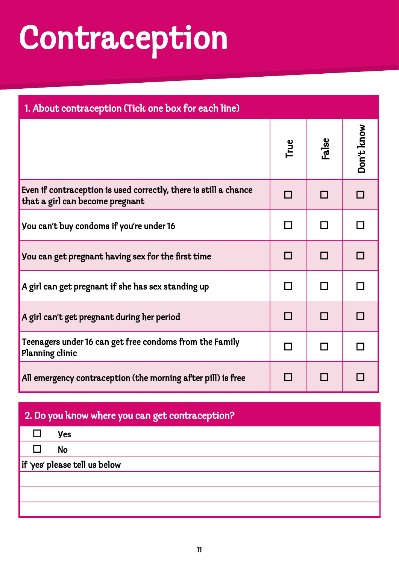### Contraception

| 1. About contraception (Tick one box for each line)                                                 |      |       |            |  |  |
|-----------------------------------------------------------------------------------------------------|------|-------|------------|--|--|
|                                                                                                     | True | False | Don't know |  |  |
| Even if contraception is used correctly, there is still a chance<br>that a girl can become pregnant | П    | П     |            |  |  |
| You can't buy condoms if you're under 16                                                            | П    | l. I  |            |  |  |
| You can get pregnant having sex for the first time                                                  | П    | П     |            |  |  |
| A girl can get pregnant if she has sex standing up                                                  | П    | П     |            |  |  |
| A girl can't get pregnant during her period                                                         | П    | П     |            |  |  |
| Teenagers under 16 can get free condoms from the Family<br>Planning clinic                          | П    | П     |            |  |  |
| All emergency contraception (the morning after pill) is free                                        | П    | П     |            |  |  |

### 2. Do you know where you can get contraception?

|    | <b>yes</b>                    |  |  |  |  |  |  |  |
|----|-------------------------------|--|--|--|--|--|--|--|
| LΙ | No                            |  |  |  |  |  |  |  |
|    | if 'yes' please tell us below |  |  |  |  |  |  |  |
|    |                               |  |  |  |  |  |  |  |
|    |                               |  |  |  |  |  |  |  |
|    |                               |  |  |  |  |  |  |  |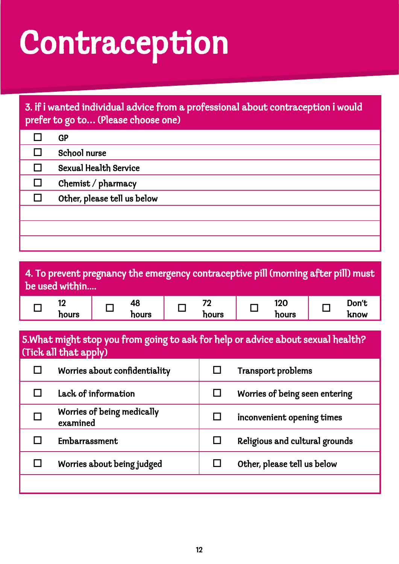### Contraception

### 3. If I wanted individual advice from a professional about contraception I would prefer to go to… (Please choose one)

| <b>GP</b>                    |
|------------------------------|
| School nurse                 |
| <b>Sexual Health Service</b> |
| Chemist / pharmacy           |
| Other, please tell us below  |
|                              |
|                              |
|                              |

| 4. To prevent pregnancy the emergency contraceptive pill (morning after pill) must<br>be used within      |               |                                                            |                               |  |                                 |  |                                |  |               |
|-----------------------------------------------------------------------------------------------------------|---------------|------------------------------------------------------------|-------------------------------|--|---------------------------------|--|--------------------------------|--|---------------|
|                                                                                                           | 12<br>hours   |                                                            | 48<br>hours                   |  | 72<br>hours                     |  | 120<br>hours                   |  | Don't<br>know |
| 5. What might stop you from going to ask for help or advice about sexual health?<br>(Tick all that apply) |               |                                                            |                               |  |                                 |  |                                |  |               |
|                                                                                                           |               |                                                            | Worries about confidentiality |  | - 1                             |  | Transport problems             |  |               |
| П                                                                                                         |               | Lack of information<br>П<br>Worries of being seen entering |                               |  |                                 |  |                                |  |               |
| П                                                                                                         | examined      |                                                            | Worries of being medically    |  | П<br>inconvenient opening times |  |                                |  |               |
| П                                                                                                         | Embarrassment |                                                            |                               |  | $\Box$                          |  | Religious and cultural grounds |  |               |
| П                                                                                                         |               |                                                            | Worries about being judged    |  |                                 |  | Other, please tell us below    |  |               |
|                                                                                                           |               |                                                            |                               |  |                                 |  |                                |  |               |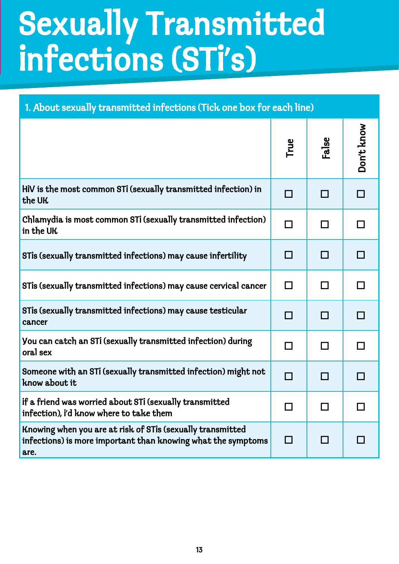### Sexually Transmitted<br>
infections (STi's) Infections (STI's)

| 1. About sexually transmitted infections (Tick one box for each line)                                                              |                          |            |            |  |
|------------------------------------------------------------------------------------------------------------------------------------|--------------------------|------------|------------|--|
|                                                                                                                                    | True                     | False      | Don't know |  |
| HiV is the most common STi (sexually transmitted infection) in<br>the UK                                                           | П                        | П          |            |  |
| Chlamydia is most common STI (sexually transmitted infection)<br>in the UK                                                         | $\Box$                   | П          |            |  |
| STis (sexually transmitted infections) may cause infertility                                                                       | П                        | П          |            |  |
| STis (sexually transmitted infections) may cause cervical cancer                                                                   | $\Box$                   | □          |            |  |
| STis (sexually transmitted infections) may cause testicular<br>cancer                                                              | П                        | П          |            |  |
| You can catch an STI (sexually transmitted infection) during<br>oral sex                                                           | □                        | П          |            |  |
| Someone with an STi (sexually transmitted infection) might not<br>know about it                                                    | $\overline{\phantom{a}}$ | <b>COL</b> |            |  |
| if a friend was worried about STi (sexually transmitted<br>infection), i'd know where to take them                                 |                          |            |            |  |
| Knowing when you are at risk of STis (sexually transmitted<br>infections) is more important than knowing what the symptoms<br>are. | $\Box$                   |            |            |  |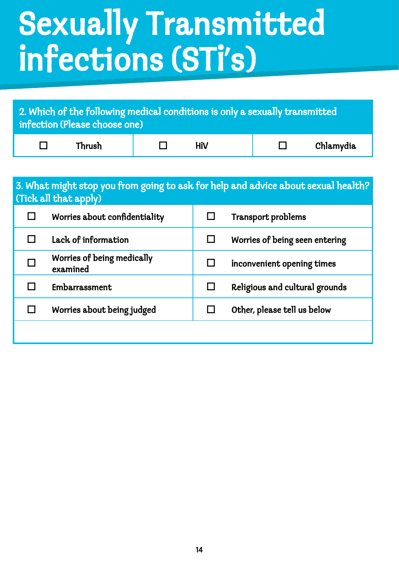### Sexually Transmitted infections (STi's)

| 2. Which of the following medical conditions is only a sexually transmitted<br>infection (Please choose one) |        |  |     |  |           |
|--------------------------------------------------------------------------------------------------------------|--------|--|-----|--|-----------|
|                                                                                                              | Thrush |  | HiV |  | Chlamydia |

#### 3. What might stop you from going to ask for help and advice about sexual health? (Tick all that apply)

| Worries about confidentiality          | Transport problems             |
|----------------------------------------|--------------------------------|
| Lack of information                    | Worries of being seen entering |
| Worries of being medically<br>examined | inconvenient opening times     |
| Embarrassment                          | Religious and cultural grounds |
| Worries about being judged             | Other, please tell us below    |
|                                        |                                |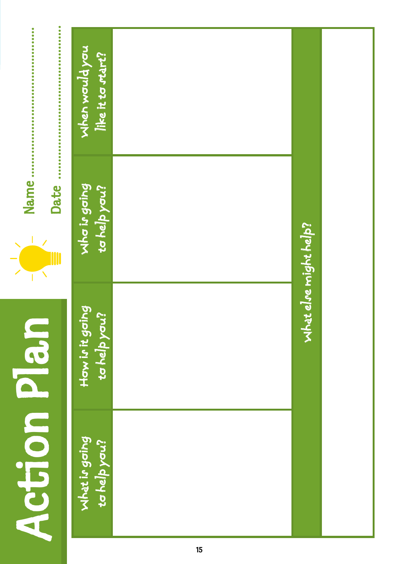| $\ddot{\bullet}$<br>$\ddot{\bullet}$<br>۰<br>Ŏ<br>0<br>0<br>۰<br>¢<br>$\ddot{\bullet}$<br>$\ddot{\bullet}$<br>$\bullet$<br>$\ddot{\bullet}$<br>0<br>0<br>$\bullet$<br>$\ddot{\bullet}$<br>0<br>$\ddot{\phantom{0}}$<br>$\ddot{\bullet}$<br>0<br>$\ddot{\phantom{0}}$<br>Ŏ<br>o | When would you<br>like it to start? |                       |
|--------------------------------------------------------------------------------------------------------------------------------------------------------------------------------------------------------------------------------------------------------------------------------|-------------------------------------|-----------------------|
| Name<br>$\ddot{\bullet}$<br>$\ddot{\bullet}$<br>Date                                                                                                                                                                                                                           | Nhơ in gaing<br>to help you?        | what else might help? |
| D an                                                                                                                                                                                                                                                                           | How in it going<br>to help you?     |                       |
| <b>Action</b>                                                                                                                                                                                                                                                                  | Mhat is going<br>to help you?       |                       |